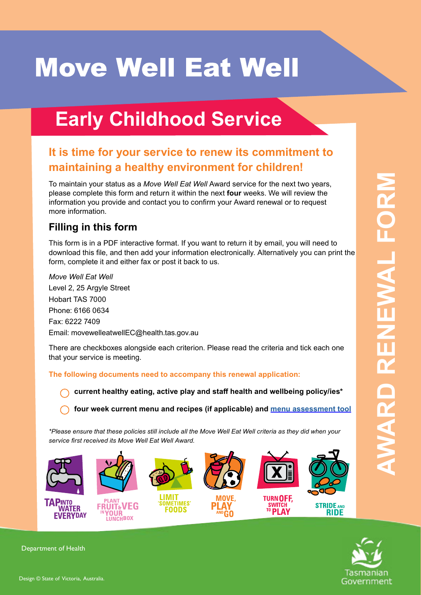# **Move Well Eat Well**

## **Early Childhood Service**

## **It is time for your service to renew its commitment to maintaining a healthy environment for children!**

To maintain your status as a *Move Well Eat Well* Award service for the next two years, please complete this form and return it within the next **four** weeks. We will review the information you provide and contact you to confirm your Award renewal or to request more information.

## **Filling in this form**

This form is in a PDF interactive format. If you want to return it by email, you will need to download this file, and then add your information electronically. Alternatively you can print the form, complete it and either fax or post it back to us.

*Move Well Eat Well* Level 2, 25 Argyle Street Hobart TAS 7000 Phone: 6166 0634 Fax: 6222 7409 Email: [movewelleatwellEC@health.tas.gov.au](mailto:movewelleatwell@dhhs.tas.gov.au)

There are checkboxes alongside each criterion. Please read the criteria and tick each one that your service is meeting.

**The following documents need to accompany this renewal application:**

**current healthy eating, active play and staff health and wellbeing policy/ies\***

**four week current menu and recipes (if applicable) and [menu assessment tool](http://movewelleatwell.tas.gov.au/early_childhood_services/plant_fruit_and_veg_in_your_lunchbox/MWEW-ECmenuplanningtool_LDC2016.pdf)**

*\*Please ensure that these policies still include all the Move Well Eat Well criteria as they did when your service first received its Move Well Eat Well Award.*



Tasmanian Government

Department of Health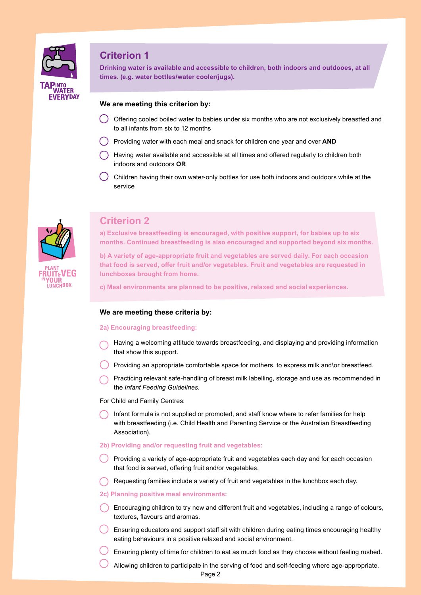

**Drinking water is available and accessible to children, both indoors and outdooes, at all times. (e.g. water bottles/water cooler/jugs).**

#### **We are meeting this criterion by:**

- Offering cooled boiled water to babies under six months who are not exclusively breastfed and to all infants from six to 12 months
- Providing water with each meal and snack for children one year and over **AND**
- Having water available and accessible at all times and offered regularly to children both indoors and outdoors **OR**
- Children having their own water-only bottles for use both indoors and outdoors while at the service



## **Criterion 2**

**a) Exclusive breastfeeding is encouraged, with positive support, for babies up to six months. Continued breastfeeding is also encouraged and supported beyond six months.**

**b) A variety of age-appropriate fruit and vegetables are served daily. For each occasion that food is served, offer fruit and/or vegetables. Fruit and vegetables are requested in lunchboxes brought from home.**

**c) Meal environments are planned to be positive, relaxed and social experiences.**

#### **We are meeting these criteria by:**

#### **2a) Encouraging breastfeeding:**

- Having a welcoming attitude towards breastfeeding, and displaying and providing information that show this support.
- Providing an appropriate comfortable space for mothers, to express milk and\or breastfeed.
- Practicing relevant safe-handling of breast milk labelling, storage and use as recommended in the *Infant Feeding Guidelines*.

For Child and Family Centres:

Infant formula is not supplied or promoted, and staff know where to refer families for help with breastfeeding (i.e. Child Health and Parenting Service or the Australian Breastfeeding Association).

#### **2b) Providing and/or requesting fruit and vegetables:**

- Providing a variety of age-appropriate fruit and vegetables each day and for each occasion that food is served, offering fruit and/or vegetables.
- Requesting families include a variety of fruit and vegetables in the lunchbox each day.

#### **2c) Planning positive meal environments:**

- Encouraging children to try new and different fruit and vegetables, including a range of colours, textures, flavours and aromas.
- Ensuring educators and support staff sit with children during eating times encouraging healthy eating behaviours in a positive relaxed and social environment.
- Ensuring plenty of time for children to eat as much food as they choose without feeling rushed.
	- Allowing children to participate in the serving of food and self-feeding where age-appropriate.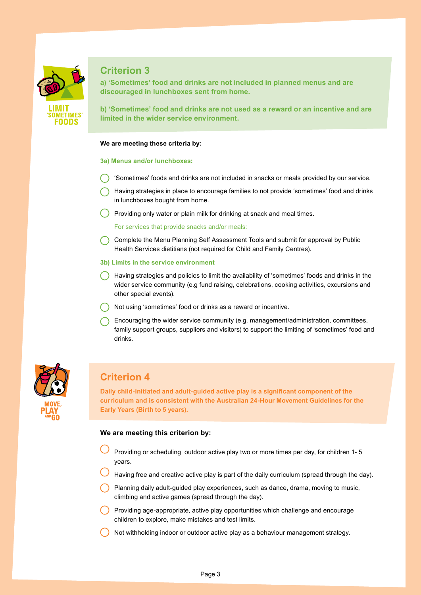

**a) 'Sometimes' food and drinks are not included in planned menus and are discouraged in lunchboxes sent from home.**

**b) 'Sometimes' food and drinks are not used as a reward or an incentive and are limited in the wider service environment.**

#### **We are meeting these criteria by:**

#### **3a) Menus and/or lunchboxes:**

- 'Sometimes' foods and drinks are not included in snacks or meals provided by our service.
- Having strategies in place to encourage families to not provide 'sometimes' food and drinks in lunchboxes bought from home.
- Providing only water or plain milk for drinking at snack and meal times.

For services that provide snacks and/or meals:

- Complete the Menu Planning Self Assessment Tools and submit for approval by Public Health Services dietitians (not required for Child and Family Centres).
- **3b) Limits in the service environment**
- Having strategies and policies to limit the availability of 'sometimes' foods and drinks in the wider service community (e.g fund raising, celebrations, cooking activities, excursions and other special events).
- Not using 'sometimes' food or drinks as a reward or incentive.
- Encouraging the wider service community (e.g. management/administration, committees, family support groups, suppliers and visitors) to support the limiting of 'sometimes' food and drinks.



## **Criterion 4**

**Daily child-initiated and adult-guided active play is a significant component of the curriculum and is consistent with the Australian 24-Hour Movement Guidelines for the Early Years (Birth to 5 years).**

#### **We are meeting this criterion by:**

- Providing or scheduling outdoor active play two or more times per day, for children 1- 5 years.
- Having free and creative active play is part of the daily curriculum (spread through the day).
- Planning daily adult-guided play experiences, such as dance, drama, moving to music, climbing and active games (spread through the day).
- Providing age-appropriate, active play opportunities which challenge and encourage children to explore, make mistakes and test limits.
- Not withholding indoor or outdoor active play as a behaviour management strategy.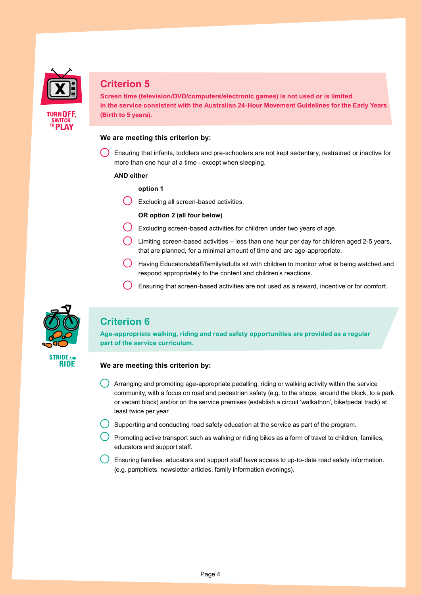

**Screen time (television/DVD/computers/electronic games) is not used or is limited in the service consistent with the Australian 24-Hour Movement Guidelines for the Early Years (Birth to 5 years).**

#### **We are meeting this criterion by:**

Ensuring that infants, toddlers and pre-schoolers are not kept sedentary, restrained or inactive for more than one hour at a time - except when sleeping.

#### **AND either**

#### **option 1**

Excluding all screen-based activities.

#### **OR option 2 (all four below)**

- Excluding screen-based activities for children under two years of age.
- Limiting screen-based activities less than one hour per day for children aged 2-5 years, that are planned, for a minimal amount of time and are age-appropriate.
- $\overline{(\ )\ }$  Having Educators/staff/family/adults sit with children to monitor what is being watched and respond appropriately to the content and children's reactions.
- Ensuring that screen-based activities are not used as a reward, incentive or for comfort.



## **Criterion 6**

**Age-appropriate walking, riding and road safety opportunities are provided as a regular part of the service curriculum.**



#### **We are meeting this criterion by:**

- Arranging and promoting age-appropriate pedalling, riding or walking activity within the service community, with a focus on road and pedestrian safety (e.g. to the shops, around the block, to a park or vacant block) and/or on the service premises (establish a circuit 'walkathon', bike/pedal track) at least twice per year.
- Supporting and conducting road safety education at the service as part of the program.
- Promoting active transport such as walking or riding bikes as a form of travel to children, families, educators and support staff.
- Ensuring families, educators and support staff have access to up-to-date road safety information. (e.g. pamphlets, newsletter articles, family information evenings).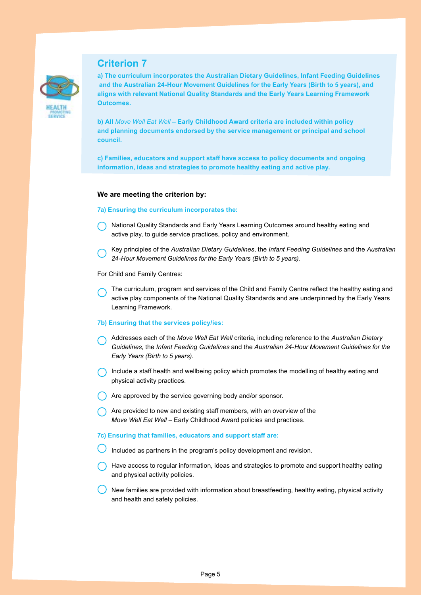

**a) The curriculum incorporates the Australian Dietary Guidelines, Infant Feeding Guidelines and the Australian 24-Hour Movement Guidelines for the Early Years (Birth to 5 years), and aligns with relevant National Quality Standards and the Early Years Learning Framework Outcomes.**

**b) All** *Move Well Eat Well* **– Early Childhood Award criteria are included within policy and planning documents endorsed by the service management or principal and school council.**

**c) Families, educators and support staff have access to policy documents and ongoing information, ideas and strategies to promote healthy eating and active play.**

#### **We are meeting the criterion by:**

#### **7a) Ensuring the curriculum incorporates the:**

- National Quality Standards and Early Years Learning Outcomes around healthy eating and active play, to guide service practices, policy and environment.
- Key principles of the *Australian Dietary Guidelines*, the *Infant Feeding Guidelines* and the *Australian 24-Hour Movement Guidelines for the Early Years (Birth to 5 years).*

For Child and Family Centres:

The curriculum, program and services of the Child and Family Centre reflect the healthy eating and active play components of the National Quality Standards and are underpinned by the Early Years Learning Framework.

#### **7b) Ensuring that the services policy/ies:**

- Addresses each of the *Move Well Eat Well* criteria, including reference to the *Australian Dietary Guidelines*, the *Infant Feeding Guidelines* and the *Australian 24-Hour Movement Guidelines for the Early Years (Birth to 5 years).*
- Include a staff health and wellbeing policy which promotes the modelling of healthy eating and physical activity practices.
- Are approved by the service governing body and/or sponsor.
- $\bigcap$  Are provided to new and existing staff members, with an overview of the *Move Well Eat Well - Early Childhood Award policies and practices.*

#### **7c) Ensuring that families, educators and support staff are:**

- Included as partners in the program's policy development and revision.
- Have access to regular information, ideas and strategies to promote and support healthy eating and physical activity policies.
- New families are provided with information about breastfeeding, healthy eating, physical activity and health and safety policies.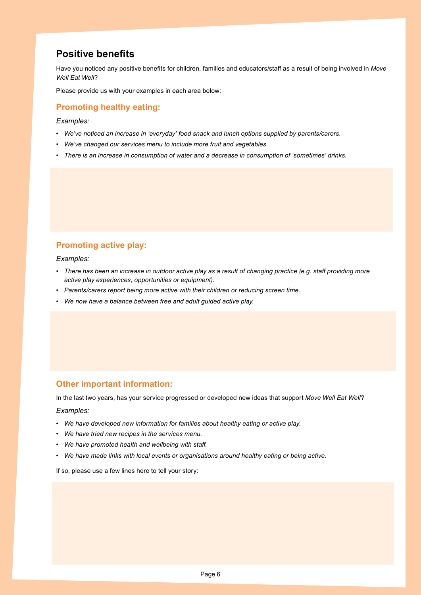## **Positive benefits**

Have you noticed any positive benefits for children, families and educators/staff as a result of being involved in *Move Well Eat Well*?

Please provide us with your examples in each area below:

### **Promoting healthy eating:**

*Examples:*

- *• We've noticed an increase in 'everyday' food snack and lunch options supplied by parents/carers.*
- *• We've changed our services menu to include more fruit and vegetables.*
- *• There is an increase in consumption of water and a decrease in consumption of 'sometimes' drinks.*

## **Promoting active play:**

*Examples:*

- **•** There has been an increase in outdoor active play as a result of changing practice (e.g. staff providing more *active play experiences, opportunities or equipment).*
- *• Parents/carers report being more active with their children or reducing screen time.*
- *• We now have a balance between free and adult guided active play.*

#### **Other important information:**

In the last two years, has your service progressed or developed new ideas that support *Move Well Eat Well*?

#### *Examples:*

- *• We have developed new information for families about healthy eating or active play.*
- *• We have tried new recipes in the services menu.*
- *• We have promoted health and wellbeing with staff.*
- *• We have made links with local events or organisations around healthy eating or being active.*

If so, please use a few lines here to tell your story: